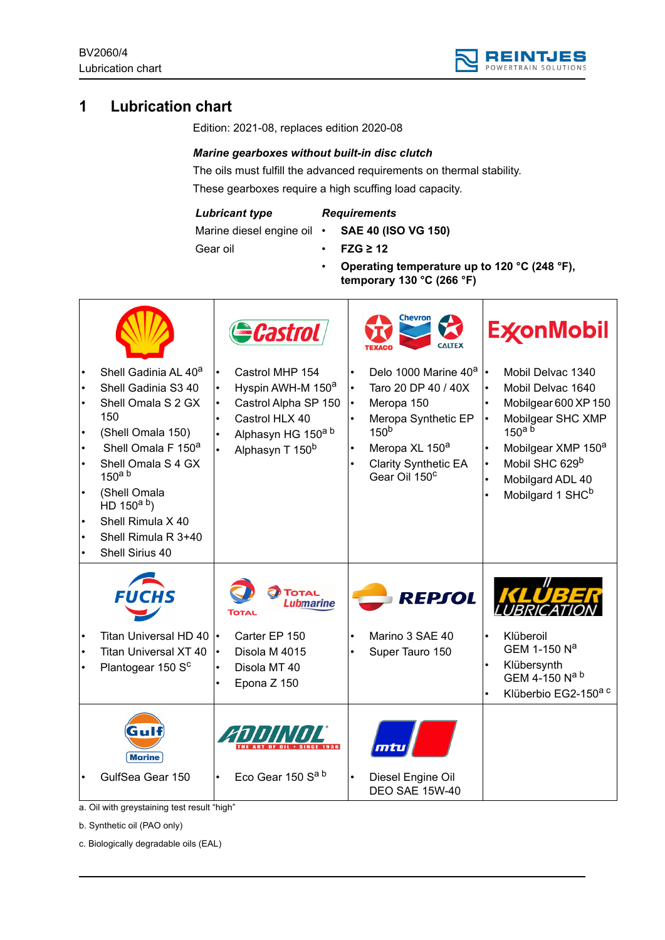

# **1 Lubrication chart**

Edition: 2021-08, replaces edition 2020-08

## *Marine gearboxes without built-in disc clutch*

The oils must fulfill the advanced requirements on thermal stability. These gearboxes require a high scuffing load capacity.

#### *Lubricant type*

## *Requirements*

Marine diesel engine oil •

- **SAE 40 (ISO VG 150)**
- Gear oil
- **FZG ≥ 12**
- **Operating temperature up to 120 °C (248 °F), temporary 130 °C (266 °F)**

|                                                                                                                                                                                                                                                                                                   |           | <b>Castrol</b>                                                                                                                                  |                                                  | Chevron<br><b>CALTEX</b>                                                                                                                                                                                   |                                                  | <b>ExconMobil</b>                                                                                                                                                                                                                        |
|---------------------------------------------------------------------------------------------------------------------------------------------------------------------------------------------------------------------------------------------------------------------------------------------------|-----------|-------------------------------------------------------------------------------------------------------------------------------------------------|--------------------------------------------------|------------------------------------------------------------------------------------------------------------------------------------------------------------------------------------------------------------|--------------------------------------------------|------------------------------------------------------------------------------------------------------------------------------------------------------------------------------------------------------------------------------------------|
| Shell Gadinia AL 40 <sup>a</sup><br>Shell Gadinia S3 40<br>Shell Omala S 2 GX<br>150<br>(Shell Omala 150)<br>Shell Omala F 150 <sup>a</sup><br>Shell Omala S 4 GX<br>150 <sup>a</sup> b<br>(Shell Omala<br>HD 150 <sup>a b</sup> )<br>Shell Rimula X 40<br>Shell Rimula R 3+40<br>Shell Sirius 40 | $\bullet$ | Castrol MHP 154<br>Hyspin AWH-M 150 <sup>a</sup><br>Castrol Alpha SP 150<br>Castrol HLX 40<br>Alphasyn HG 150a b<br>Alphasyn T 150 <sup>b</sup> | $\bullet$<br>$\bullet$<br>$\bullet$<br>$\bullet$ | Delo 1000 Marine 40 <sup>a</sup><br>Taro 20 DP 40 / 40X<br>Meropa 150<br>Meropa Synthetic EP<br>150 <sup>b</sup><br>Meropa XL 150 <sup>a</sup><br><b>Clarity Synthetic EA</b><br>Gear Oil 150 <sup>c</sup> | $\bullet$<br>$\bullet$<br>$\bullet$<br>$\bullet$ | Mobil Delvac 1340<br>Mobil Delvac 1640<br>Mobilgear 600 XP 150<br>Mobilgear SHC XMP<br>$150^{\text{a}}$ <sup>b</sup><br>Mobilgear XMP 150 <sup>a</sup><br>Mobil SHC 629 <sup>b</sup><br>Mobilgard ADL 40<br>Mobilgard 1 SHC <sup>b</sup> |
| <b>FUCHS</b>                                                                                                                                                                                                                                                                                      |           | <b>TOTAL</b><br><b>Lubmarine</b><br>Тота                                                                                                        |                                                  | <b>REPSOL</b>                                                                                                                                                                                              |                                                  |                                                                                                                                                                                                                                          |
| Titan Universal HD 40<br><b>Titan Universal XT 40</b><br>Plantogear 150 S <sup>c</sup>                                                                                                                                                                                                            |           | Carter EP 150<br>Disola M 4015<br>Disola MT 40<br>Epona Z 150                                                                                   |                                                  | Marino 3 SAE 40<br>Super Tauro 150                                                                                                                                                                         | $\bullet$<br>$\bullet$<br>$\bullet$              | Klüberoil<br>GEM 1-150 Na<br>Klübersynth<br>GEM 4-150 Na b<br>Klüberbio EG2-150 <sup>a c</sup>                                                                                                                                           |
| <b>Marine</b><br>GulfSea Gear 150                                                                                                                                                                                                                                                                 |           | Eco Gear 150 Sa b                                                                                                                               |                                                  | Diesel Engine Oil<br>DEO SAE 15W-40                                                                                                                                                                        |                                                  |                                                                                                                                                                                                                                          |

a. Oil with greystaining test result "high"

b. Synthetic oil (PAO only)

c. Biologically degradable oils (EAL)